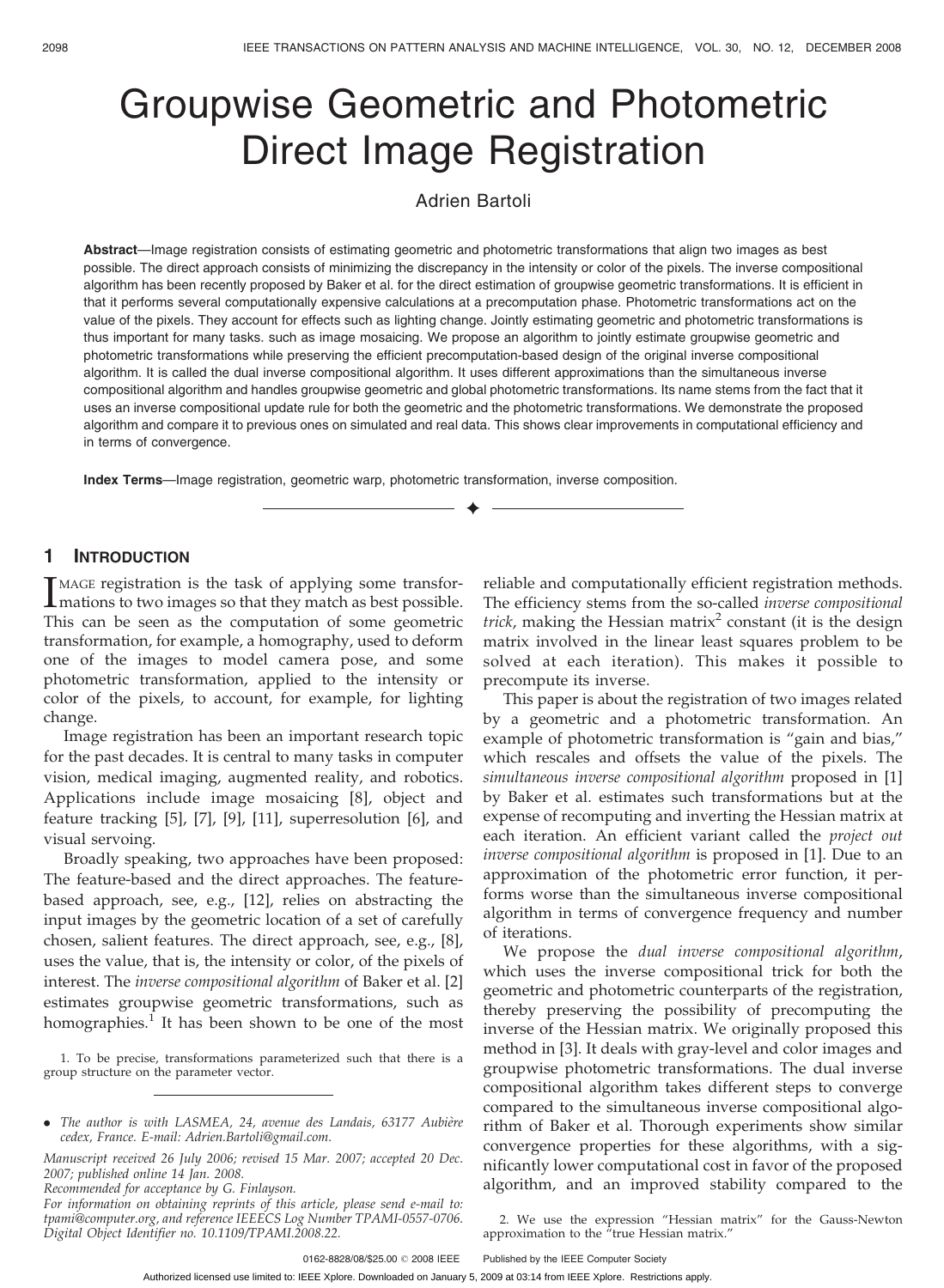# Groupwise Geometric and Photometric Direct Image Registration

#### Adrien Bartoli

Abstract—Image registration consists of estimating geometric and photometric transformations that align two images as best possible. The direct approach consists of minimizing the discrepancy in the intensity or color of the pixels. The inverse compositional algorithm has been recently proposed by Baker et al. for the direct estimation of groupwise geometric transformations. It is efficient in that it performs several computationally expensive calculations at a precomputation phase. Photometric transformations act on the value of the pixels. They account for effects such as lighting change. Jointly estimating geometric and photometric transformations is thus important for many tasks. such as image mosaicing. We propose an algorithm to jointly estimate groupwise geometric and photometric transformations while preserving the efficient precomputation-based design of the original inverse compositional algorithm. It is called the dual inverse compositional algorithm. It uses different approximations than the simultaneous inverse compositional algorithm and handles groupwise geometric and global photometric transformations. Its name stems from the fact that it uses an inverse compositional update rule for both the geometric and the photometric transformations. We demonstrate the proposed algorithm and compare it to previous ones on simulated and real data. This shows clear improvements in computational efficiency and in terms of convergence.

 $\blacklozenge$ 

Index Terms—Image registration, geometric warp, photometric transformation, inverse composition.

#### 1 INTRODUCTION

I MAGE registration is the task of applying some transformations to two images so that they match as best possible. MAGE registration is the task of applying some transfor-This can be seen as the computation of some geometric transformation, for example, a homography, used to deform one of the images to model camera pose, and some photometric transformation, applied to the intensity or color of the pixels, to account, for example, for lighting change.

Image registration has been an important research topic for the past decades. It is central to many tasks in computer vision, medical imaging, augmented reality, and robotics. Applications include image mosaicing [8], object and feature tracking [5], [7], [9], [11], superresolution [6], and visual servoing.

Broadly speaking, two approaches have been proposed: The feature-based and the direct approaches. The featurebased approach, see, e.g., [12], relies on abstracting the input images by the geometric location of a set of carefully chosen, salient features. The direct approach, see, e.g., [8], uses the value, that is, the intensity or color, of the pixels of interest. The inverse compositional algorithm of Baker et al. [2] estimates groupwise geometric transformations, such as homographies. $<sup>1</sup>$  It has been shown to be one of the most</sup>

1. To be precise, transformations parameterized such that there is a group structure on the parameter vector.

For information on obtaining reprints of this article, please send e-mail to: tpami@computer.org, and reference IEEECS Log Number TPAMI-0557-0706. Digital Object Identifier no. 10.1109/TPAMI.2008.22.

reliable and computationally efficient registration methods. The efficiency stems from the so-called inverse compositional trick, making the Hessian matrix<sup>2</sup> constant (it is the design matrix involved in the linear least squares problem to be solved at each iteration). This makes it possible to precompute its inverse.

This paper is about the registration of two images related by a geometric and a photometric transformation. An example of photometric transformation is "gain and bias," which rescales and offsets the value of the pixels. The simultaneous inverse compositional algorithm proposed in [1] by Baker et al. estimates such transformations but at the expense of recomputing and inverting the Hessian matrix at each iteration. An efficient variant called the project out inverse compositional algorithm is proposed in [1]. Due to an approximation of the photometric error function, it performs worse than the simultaneous inverse compositional algorithm in terms of convergence frequency and number of iterations.

We propose the dual inverse compositional algorithm, which uses the inverse compositional trick for both the geometric and photometric counterparts of the registration, thereby preserving the possibility of precomputing the inverse of the Hessian matrix. We originally proposed this method in [3]. It deals with gray-level and color images and groupwise photometric transformations. The dual inverse compositional algorithm takes different steps to converge compared to the simultaneous inverse compositional algorithm of Baker et al. Thorough experiments show similar convergence properties for these algorithms, with a significantly lower computational cost in favor of the proposed algorithm, and an improved stability compared to the

2. We use the expression "Hessian matrix" for the Gauss-Newton approximation to the "true Hessian matrix."

0162-8828/08/\$25.00 © 2008 IEEE Published by the IEEE Computer Society

<sup>•</sup> The author is with LASMEA, 24, avenue des Landais, 63177 Aubière cedex, France. E-mail: Adrien.Bartoli@gmail.com.

Manuscript received 26 July 2006; revised 15 Mar. 2007; accepted 20 Dec. 2007; published online 14 Jan. 2008.

Recommended for acceptance by G. Finlayson.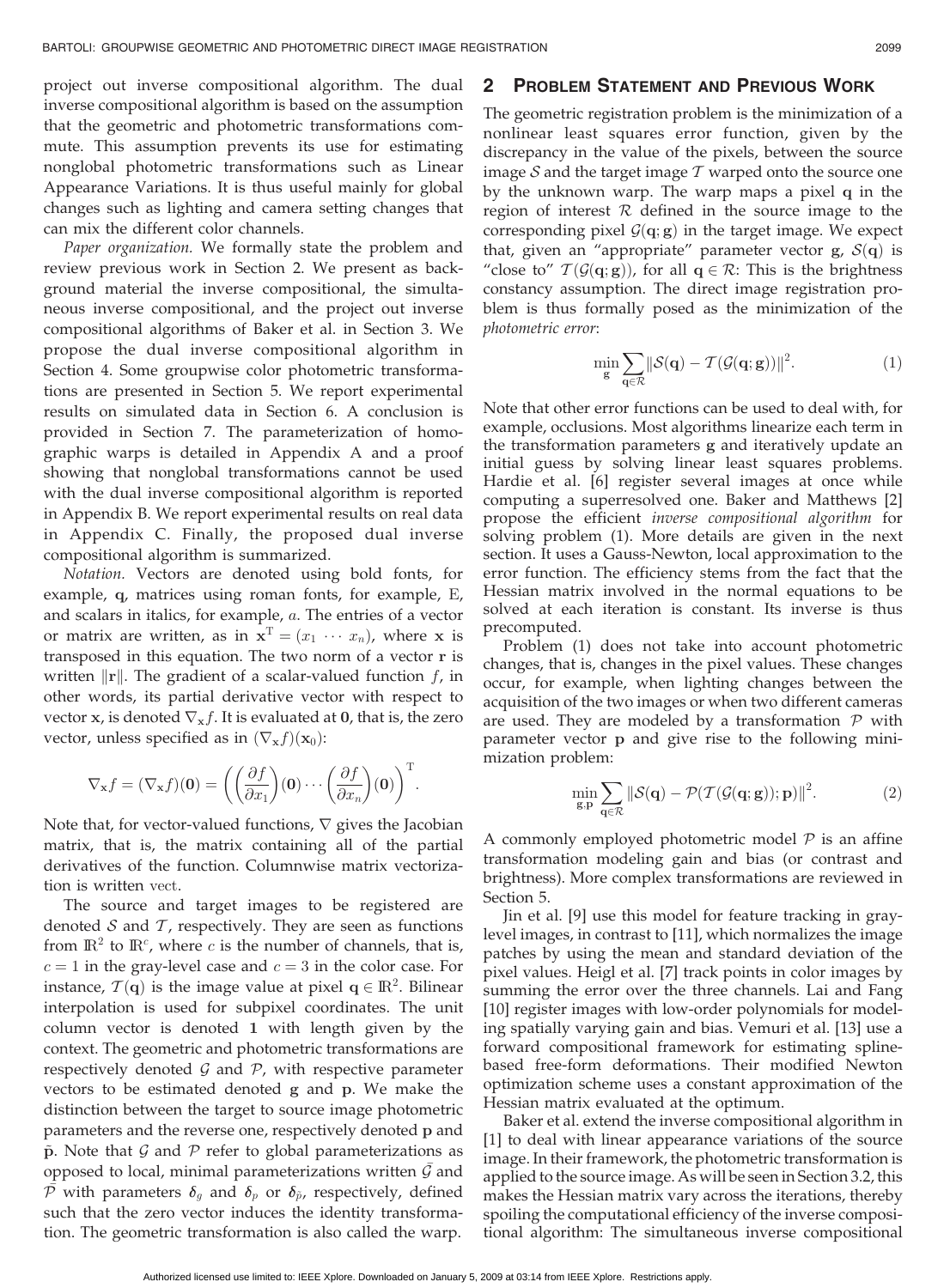project out inverse compositional algorithm. The dual inverse compositional algorithm is based on the assumption that the geometric and photometric transformations commute. This assumption prevents its use for estimating nonglobal photometric transformations such as Linear Appearance Variations. It is thus useful mainly for global changes such as lighting and camera setting changes that can mix the different color channels.

Paper organization. We formally state the problem and review previous work in Section 2. We present as background material the inverse compositional, the simultaneous inverse compositional, and the project out inverse compositional algorithms of Baker et al. in Section 3. We propose the dual inverse compositional algorithm in Section 4. Some groupwise color photometric transformations are presented in Section 5. We report experimental results on simulated data in Section 6. A conclusion is provided in Section 7. The parameterization of homographic warps is detailed in Appendix A and a proof showing that nonglobal transformations cannot be used with the dual inverse compositional algorithm is reported in Appendix B. We report experimental results on real data in Appendix C. Finally, the proposed dual inverse compositional algorithm is summarized.

Notation. Vectors are denoted using bold fonts, for example, q, matrices using roman fonts, for example, E, and scalars in italics, for example, a. The entries of a vector or matrix are written, as in  $\mathbf{x}^{\mathrm{T}} = (x_1 \cdots x_n)$ , where x is transposed in this equation. The two norm of a vector r is written  $\|\mathbf{r}\|$ . The gradient of a scalar-valued function f, in other words, its partial derivative vector with respect to vector x, is denoted  $\nabla_{\mathbf{x}} f$ . It is evaluated at 0, that is, the zero vector, unless specified as in  $(\nabla_{\mathbf{x}}f)(\mathbf{x}_0)$ :

$$
\nabla_{\mathbf{x}}f = (\nabla_{\mathbf{x}}f)(\mathbf{0}) = \left(\left(\frac{\partial f}{\partial x_1}\right)(\mathbf{0}) \cdots \left(\frac{\partial f}{\partial x_n}\right)(\mathbf{0})\right)^{\mathrm{T}}.
$$

Note that, for vector-valued functions,  $\nabla$  gives the Jacobian matrix, that is, the matrix containing all of the partial derivatives of the function. Columnwise matrix vectorization is written vect.

The source and target images to be registered are denoted  $S$  and  $T$ , respectively. They are seen as functions from  $\mathbb{R}^2$  to  $\mathbb{R}^c$ , where c is the number of channels, that is,  $c = 1$  in the gray-level case and  $c = 3$  in the color case. For instance,  $\mathcal{T}(\mathbf{q})$  is the image value at pixel  $\mathbf{q} \in \mathbb{R}^2$ . Bilinear interpolation is used for subpixel coordinates. The unit column vector is denoted 1 with length given by the context. The geometric and photometric transformations are respectively denoted  $G$  and  $P$ , with respective parameter vectors to be estimated denoted g and p. We make the distinction between the target to source image photometric parameters and the reverse one, respectively denoted p and  $\tilde{p}$ . Note that G and P refer to global parameterizations as opposed to local, minimal parameterizations written  $\bar{\mathcal{G}}$  and  $\bar{\mathcal{P}}$  with parameters  $\delta_g$  and  $\delta_p$  or  $\delta_{\tilde{p}}$ , respectively, defined such that the zero vector induces the identity transformation. The geometric transformation is also called the warp.

#### 2 PROBLEM STATEMENT AND PREVIOUS WORK

The geometric registration problem is the minimization of a nonlinear least squares error function, given by the discrepancy in the value of the pixels, between the source image  $S$  and the target image  $T$  warped onto the source one by the unknown warp. The warp maps a pixel q in the region of interest  $R$  defined in the source image to the corresponding pixel  $G(q; g)$  in the target image. We expect that, given an "appropriate" parameter vector  $g$ ,  $S(q)$  is "close to"  $T(G(q; g))$ , for all  $q \in \mathcal{R}$ : This is the brightness constancy assumption. The direct image registration problem is thus formally posed as the minimization of the photometric error:

$$
\min_{\mathbf{g}} \sum_{\mathbf{q} \in \mathcal{R}} \|\mathcal{S}(\mathbf{q}) - \mathcal{T}(\mathcal{G}(\mathbf{q}; \mathbf{g}))\|^2.
$$
 (1)

Note that other error functions can be used to deal with, for example, occlusions. Most algorithms linearize each term in the transformation parameters g and iteratively update an initial guess by solving linear least squares problems. Hardie et al. [6] register several images at once while computing a superresolved one. Baker and Matthews [2] propose the efficient inverse compositional algorithm for solving problem (1). More details are given in the next section. It uses a Gauss-Newton, local approximation to the error function. The efficiency stems from the fact that the Hessian matrix involved in the normal equations to be solved at each iteration is constant. Its inverse is thus precomputed.

Problem (1) does not take into account photometric changes, that is, changes in the pixel values. These changes occur, for example, when lighting changes between the acquisition of the two images or when two different cameras are used. They are modeled by a transformation  $P$  with parameter vector p and give rise to the following minimization problem:

$$
\min_{\mathbf{g}, \mathbf{p}} \sum_{\mathbf{q} \in \mathcal{R}} \| \mathcal{S}(\mathbf{q}) - \mathcal{P}(\mathcal{T}(\mathcal{G}(\mathbf{q}; \mathbf{g})); \mathbf{p}) \|^2.
$$
 (2)

A commonly employed photometric model  $P$  is an affine transformation modeling gain and bias (or contrast and brightness). More complex transformations are reviewed in Section 5.

Jin et al. [9] use this model for feature tracking in graylevel images, in contrast to [11], which normalizes the image patches by using the mean and standard deviation of the pixel values. Heigl et al. [7] track points in color images by summing the error over the three channels. Lai and Fang [10] register images with low-order polynomials for modeling spatially varying gain and bias. Vemuri et al. [13] use a forward compositional framework for estimating splinebased free-form deformations. Their modified Newton optimization scheme uses a constant approximation of the Hessian matrix evaluated at the optimum.

Baker et al. extend the inverse compositional algorithm in [1] to deal with linear appearance variations of the source image. In their framework, the photometric transformation is applied to the source image. As will be seen in Section 3.2, this makes the Hessian matrix vary across the iterations, thereby spoiling the computational efficiency of the inverse compositional algorithm: The simultaneous inverse compositional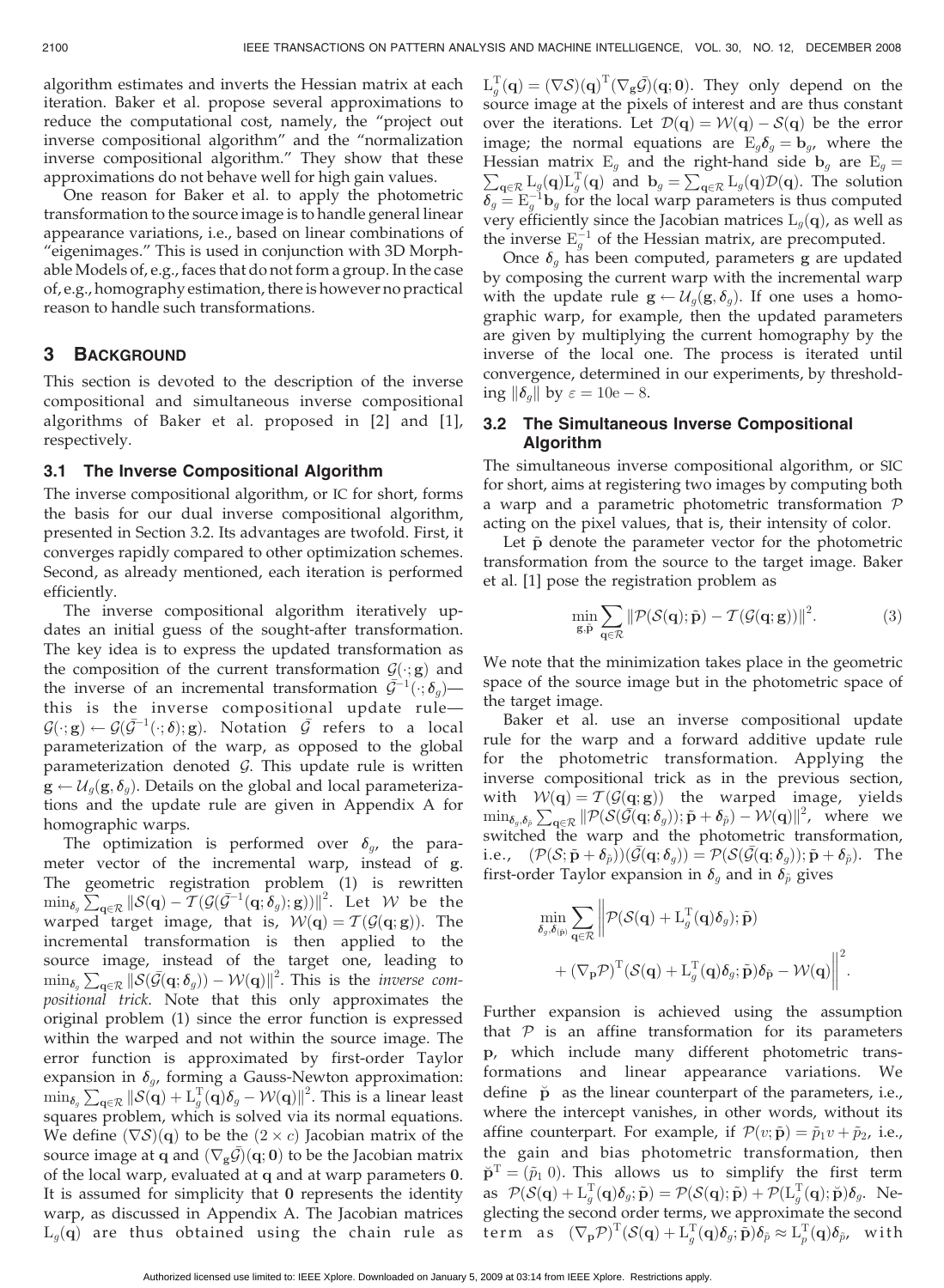algorithm estimates and inverts the Hessian matrix at each iteration. Baker et al. propose several approximations to reduce the computational cost, namely, the "project out inverse compositional algorithm" and the "normalization inverse compositional algorithm." They show that these approximations do not behave well for high gain values.

One reason for Baker et al. to apply the photometric transformation to the source image is to handle general linear appearance variations, i.e., based on linear combinations of "eigenimages." This is used in conjunction with 3D Morphable Models of, e.g., faces that do not form a group. In the case of, e.g., homography estimation, there is however no practical reason to handle such transformations.

# 3 BACKGROUND

This section is devoted to the description of the inverse compositional and simultaneous inverse compositional algorithms of Baker et al. proposed in [2] and [1], respectively.

#### 3.1 The Inverse Compositional Algorithm

The inverse compositional algorithm, or IC for short, forms the basis for our dual inverse compositional algorithm, presented in Section 3.2. Its advantages are twofold. First, it converges rapidly compared to other optimization schemes. Second, as already mentioned, each iteration is performed efficiently.

The inverse compositional algorithm iteratively updates an initial guess of the sought-after transformation. The key idea is to express the updated transformation as the composition of the current transformation  $\mathcal{G}(\cdot; \mathbf{g})$  and the inverse of an incremental transformation  $\bar{\mathcal{G}}^{-1}(\cdot;\boldsymbol{\delta}_g)$  this is the inverse compositional update rule—  $\mathcal{G}(\cdot; \mathbf{g}) \leftarrow \mathcal{G}(\bar{\mathcal{G}}^{-1}(\cdot; \delta); \mathbf{g})$ . Notation  $\bar{\mathcal{G}}$  refers to a local parameterization of the warp, as opposed to the global parameterization denoted  $G$ . This update rule is written  $\mathbf{g} \leftarrow \mathcal{U}_g(\mathbf{g}, \boldsymbol{\delta}_g).$  Details on the global and local parameterizations and the update rule are given in Appendix A for homographic warps.

The optimization is performed over  $\delta_{g}$ , the parameter vector of the incremental warp, instead of g. The geometric registration problem (1) is rewritten  $\min_{\delta_g} \sum_{\mathbf{q} \in \mathcal{R}} ||S(\mathbf{q}) - \mathcal{T}(\mathcal{G}(\bar{\mathcal{G}}^{-1}(\mathbf{q};\delta_g);\mathbf{g}))||^2$ . Let W be the warped target image, that is,  $W(\mathbf{q}) = \mathcal{T}(\mathcal{G}(\mathbf{q}; \mathbf{g}))$ . The incremental transformation is then applied to the source image, instead of the target one, leading to  $\min_{\delta_g} \sum_{\mathbf{q} \in \mathcal{R}} \|\mathcal{S}(\mathcal{G}(\mathbf{q}; \delta_g)) - \mathcal{W}(\mathbf{q})\|^2$ . This is the *inverse com*positional trick. Note that this only approximates the original problem (1) since the error function is expressed within the warped and not within the source image. The error function is approximated by first-order Taylor expansion in  $\delta_g$ , forming a Gauss-Newton approximation:  $\min_{\delta_g} \sum_{\mathbf{q} \in \mathcal{R}} ||S(\mathbf{q}) + \mathbf{L}_g^{\mathrm{T}}(\mathbf{q}) \delta_g - \mathcal{W}(\mathbf{q})||^2$ . This is a linear least squares problem, which is solved via its normal equations. We define  $(\nabla S)(q)$  to be the  $(2 \times c)$  Jacobian matrix of the source image at  ${\bf q}$  and  $(\nabla_{\bf g}\bar{\mathcal{G}})({\bf q};{\bf 0})$  to be the Jacobian matrix of the local warp, evaluated at q and at warp parameters 0. It is assumed for simplicity that 0 represents the identity warp, as discussed in Appendix A. The Jacobian matrices  $L_q(q)$  are thus obtained using the chain rule as

 $L_g^T(\mathbf{q}) = (\nabla S)(\mathbf{q})^T (\nabla_g \overline{G})(\mathbf{q}; \mathbf{0}).$  They only depend on the source image at the pixels of interest and are thus constant over the iterations. Let  $\mathcal{D}(\mathbf{q}) = \mathcal{W}(\mathbf{q}) - \mathcal{S}(\mathbf{q})$  be the error image; the normal equations are  $E_g \delta_g = \mathbf{b}_g$ , where the Hessian matrix  $E_g$  and the right-hand side  $\mathbf{b}_g$  are  $E_g =$  $\sum_{\mathbf{q}\in\mathcal{R}}\mathrm{L}_g(\mathbf{q})\mathrm{L}_g^{\mathrm{T}}(\mathbf{q})$  and  $\mathbf{b}_g = \sum_{\mathbf{q}\in\mathcal{R}}\mathrm{L}_g(\mathbf{q})\mathcal{D}(\mathbf{q})$ . The solution  $\delta_g = \mathbf{E}_g^{-1} \mathbf{b}_g$  for the local warp parameters is thus computed very efficiently since the Jacobian matrices  $L_q(\mathbf{q})$ , as well as the inverse  $E_g^{-1}$  of the Hessian matrix, are precomputed.

Once  $\delta_g$  has been computed, parameters  ${\bf g}$  are updated by composing the current warp with the incremental warp with the update rule  $\mathbf{g} \leftarrow \mathcal{U}_g(\mathbf{g}, \boldsymbol{\delta}_g).$  If one uses a homographic warp, for example, then the updated parameters are given by multiplying the current homography by the inverse of the local one. The process is iterated until convergence, determined in our experiments, by thresholding  $\|\boldsymbol{\delta}_g\|$  by  $\varepsilon = 10\mathrm{e}-8$ .

#### 3.2 The Simultaneous Inverse Compositional Algorithm

The simultaneous inverse compositional algorithm, or SIC for short, aims at registering two images by computing both a warp and a parametric photometric transformation  $P$ acting on the pixel values, that is, their intensity of color.

Let  $\tilde{p}$  denote the parameter vector for the photometric transformation from the source to the target image. Baker et al. [1] pose the registration problem as

$$
\min_{\mathbf{g}, \tilde{\mathbf{p}}} \sum_{\mathbf{q} \in \mathcal{R}} \|\mathcal{P}(\mathcal{S}(\mathbf{q}); \tilde{\mathbf{p}}) - \mathcal{T}(\mathcal{G}(\mathbf{q}; \mathbf{g}))\|^2. \tag{3}
$$

We note that the minimization takes place in the geometric space of the source image but in the photometric space of the target image.

Baker et al. use an inverse compositional update rule for the warp and a forward additive update rule for the photometric transformation. Applying the inverse compositional trick as in the previous section, with  $W(\mathbf{q}) = T(\mathcal{G}(\mathbf{q}; \mathbf{g}))$  the warped image, yields  $\min_{\delta_g, \delta_{\tilde{p}}} \sum_{\mathbf{q} \in \mathcal{R}} \|\mathcal{P}(\mathcal{S}(\vec{g}(\mathbf{q};\delta_g)); \tilde{\mathbf{p}} + \delta_{\tilde{p}}) - \mathcal{W}(\mathbf{q})\|^2$ , where we switched the warp and the photometric transformation, i.e.,  $(\mathcal{P}(\mathcal{S}; \tilde{\mathbf{p}} + \delta_{\tilde{p}}))(\bar{\mathcal{G}}(\mathbf{q}; \delta_g)) = \mathcal{P}(\mathcal{S}(\bar{\mathcal{G}}(\mathbf{q}; \delta_g)); \tilde{\mathbf{p}} + \delta_{\tilde{p}}).$  The first-order Taylor expansion in  $\delta_g$  and in  $\delta_{\tilde{p}}$  gives

$$
\begin{split} &\min_{\boldsymbol{\delta}_{g},\boldsymbol{\delta}_{(\tilde{\mathbf{p}})}} \sum_{\mathbf{q}\in\mathcal{R}} \bigg\|\mathcal{P}(\mathcal{S}(\mathbf{q}) + \mathbf{L}_g^{\mathrm{T}}(\mathbf{q})\boldsymbol{\delta}_{g});\tilde{\mathbf{p}})\\ &+ (\nabla_{\mathbf{p}}\mathcal{P})^{\mathrm{T}}(\mathcal{S}(\mathbf{q}) + \mathbf{L}_g^{\mathrm{T}}(\mathbf{q})\boldsymbol{\delta}_{g};\tilde{\mathbf{p}})\boldsymbol{\delta}_{\tilde{\mathbf{p}}} - \mathcal{W}(\mathbf{q})\bigg\|^2. \end{split}
$$

Further expansion is achieved using the assumption that  $P$  is an affine transformation for its parameters p, which include many different photometric transformations and linear appearance variations. We define  $\check{p}$  as the linear counterpart of the parameters, i.e., where the intercept vanishes, in other words, without its affine counterpart. For example, if  $\mathcal{P}(v; \tilde{\mathbf{p}}) = \tilde{p}_1v + \tilde{p}_2$ , i.e., the gain and bias photometric transformation, then  $\breve{\mathbf{p}}^{\mathrm{T}} = (\tilde{p}_1 \; 0)$ . This allows us to simplify the first term as  $\mathcal{P}(\mathcal{S}(\mathbf{q}) + \mathbf{L}_g^{\mathrm{T}}(\mathbf{q})\delta_g; \tilde{\mathbf{p}}) = \mathcal{P}(\mathcal{S}(\mathbf{q}); \tilde{\mathbf{p}}) + \mathcal{P}(\mathbf{L}_g^{\mathrm{T}}(\mathbf{q}); \tilde{\mathbf{p}})\delta_g$ . Neglecting the second order terms, we approximate the second term as  $(\nabla_{\bf p} {\cal P})^{\rm T}({\cal S}({\bf q})+{\bf L}^{\rm T}_g({\bf q})\boldsymbol{\delta}_g;\tilde{\bf p})\tilde{\boldsymbol{\delta}}_{\tilde{p}}\approx {\bf L}^{\rm T}_p({\bf q})\boldsymbol{\delta}_{\tilde{p}},$  with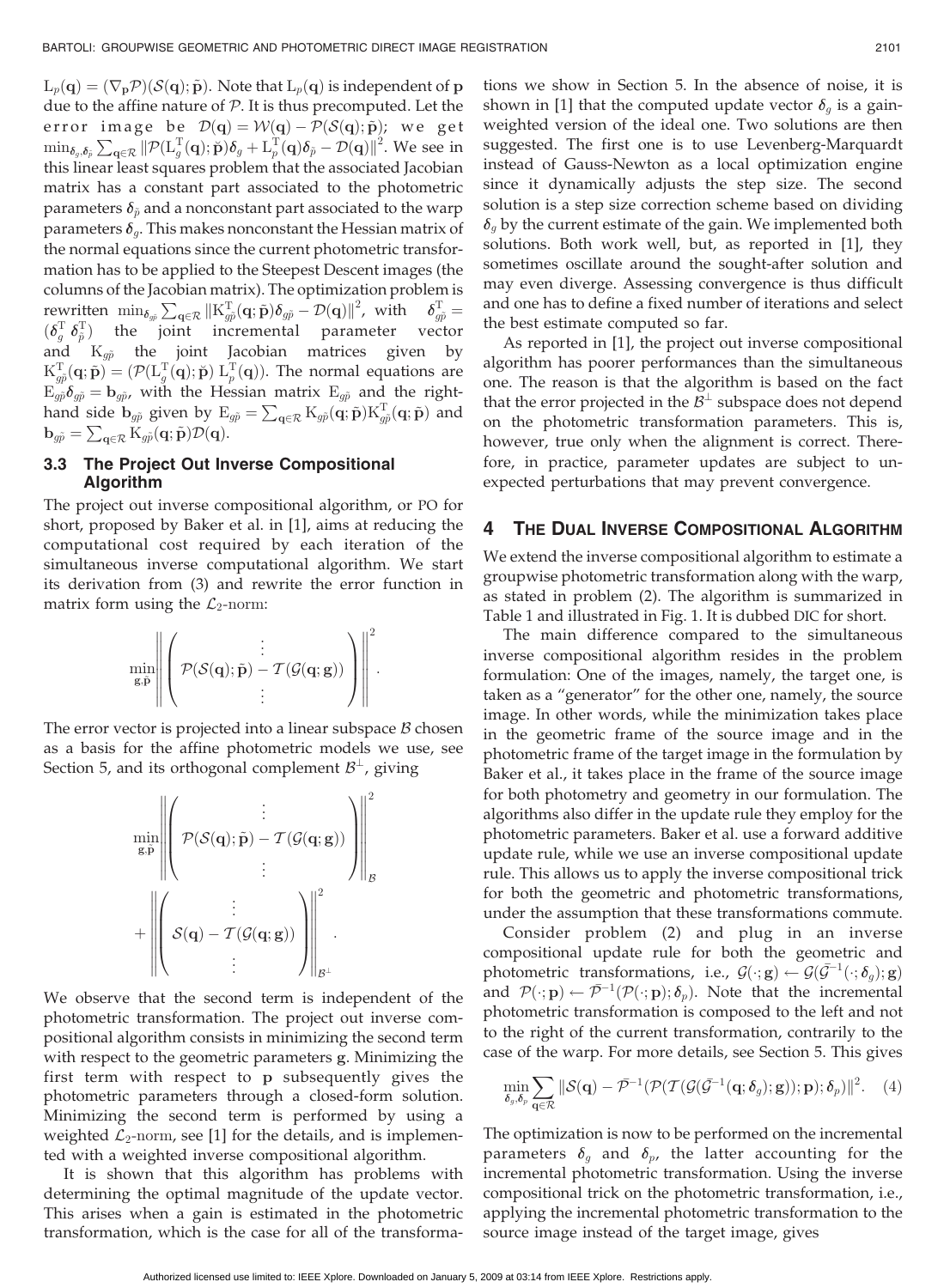$L_p(\mathbf{q}) = (\nabla_{\mathbf{p}} \mathcal{P})(\mathcal{S}(\mathbf{q}); \tilde{\mathbf{p}})$ . Note that  $L_p(\mathbf{q})$  is independent of p due to the affine nature of  $P$ . It is thus precomputed. Let the error image be  $\mathcal{D}(\mathbf{q}) = \mathcal{W}(\mathbf{q}) - \mathcal{P}(\mathcal{S}(\mathbf{q}); \tilde{\mathbf{p}})$ ; we get  $\min_{\delta_g, \delta_{\tilde{p}}} \sum_{\mathbf{q} \in \mathcal{R}} ||\mathcal{P}(L_g^T(\mathbf{q}); \breve{\mathbf{p}}) \delta_g + L_p^T(\mathbf{q}) \delta_{\tilde{p}} - \mathcal{D}(\mathbf{q})||^2$ . We see in this linear least squares problem that the associated Jacobian matrix has a constant part associated to the photometric parameters  $\delta_{\widetilde{p}}$  and a nonconstant part associated to the warp parameters  $\delta_g.$  This makes nonconstant the Hessian matrix of the normal equations since the current photometric transformation has to be applied to the Steepest Descent images (the columns of the Jacobian matrix). The optimization problem is rewritten  $\min_{\delta_{g\tilde{p}}} \sum_{\mathbf{q}\in\mathcal{R}} ||K_{g\tilde{p}}^{\mathrm{T}}(\mathbf{q};\tilde{\mathbf{p}})\delta_{g\tilde{p}} - \mathcal{D}(\mathbf{q})||^2$ , with  $\delta_{g\tilde{p}}^{\mathrm{T}} =$  $(\delta_{\tilde{g}}^T \delta_{\tilde{p}}^T)$  the joint incremental parameter vector and  $K_{g\tilde{p}}$  the joint Jacobian matrices given by  $\mathrm{K}^\mathrm{T}_{g\widetilde{p}}(\mathbf{q};\tilde{\mathbf{p}})=(\mathcal{P}(\mathrm{L}^\mathrm{T}_g(\mathbf{q});\breve{\mathbf{p}})\ \mathrm{L}^\mathrm{T}_p(\mathbf{q})).$  The normal equations are  $\mathrm{E}_{g\widetilde{p}}\delta_{g\widetilde{p}}=\mathbf{b}_{g\widetilde{p}}$ , with the Hessian matrix  $\mathrm{E}_{g\widetilde{p}}$  and the righthand side  $\mathbf{b}_{g\tilde{p}}$  given by  $\mathrm{E}_{g\tilde{p}} = \sum_{\mathbf{q} \in \mathcal{R}} \mathrm{K}_{g\tilde{p}}(\mathbf{q}; \tilde{\mathbf{p}}) \mathrm{K}_{g\tilde{p}}^{\mathrm{T}}(\mathbf{q}; \tilde{\mathbf{p}})$  and  $\mathbf{b}_{g\widetilde{p}} = \sum_{\mathbf{q}\in\mathcal{R}} \mathrm{K}_{g\widetilde{p}}(\mathbf{q};\widetilde{\mathbf{p}})\mathcal{D}(\mathbf{q}).$ 

#### 3.3 The Project Out Inverse Compositional Algorithm

The project out inverse compositional algorithm, or PO for short, proposed by Baker et al. in [1], aims at reducing the computational cost required by each iteration of the simultaneous inverse computational algorithm. We start its derivation from (3) and rewrite the error function in matrix form using the  $\mathcal{L}_2$ -norm:

$$
\min_{g,\tilde{\mathbf{p}}}\left\|\left(\mathcal{P}(\mathcal{S}(\mathbf{q});\tilde{\mathbf{p}})-\mathcal{T}(\mathcal{G}(\mathbf{q};\mathbf{g}))\right)\right\|^{2}.
$$

The error vector is projected into a linear subspace  $\beta$  chosen as a basis for the affine photometric models we use, see Section 5, and its orthogonal complement  $B^{\perp}$ , giving

$$
\min_{\mathbf{g}, \tilde{\mathbf{p}}}\left\|\left(\mathcal{P}(\mathcal{S}(\mathbf{q}); \tilde{\mathbf{p}}) - \mathcal{T}(\mathcal{G}(\mathbf{q}; \mathbf{g}))\right)\right\|_{\mathcal{B}}^{2} + \left\|\left(\mathcal{S}(\mathbf{q}) - \mathcal{T}(\mathcal{G}(\mathbf{q}; \mathbf{g}))\right)\right\|_{\mathcal{B}^{\perp}}^{2}.
$$

We observe that the second term is independent of the photometric transformation. The project out inverse compositional algorithm consists in minimizing the second term with respect to the geometric parameters g. Minimizing the first term with respect to p subsequently gives the photometric parameters through a closed-form solution. Minimizing the second term is performed by using a weighted  $\mathcal{L}_2$ -norm, see [1] for the details, and is implemented with a weighted inverse compositional algorithm.

It is shown that this algorithm has problems with determining the optimal magnitude of the update vector. This arises when a gain is estimated in the photometric transformation, which is the case for all of the transforma-

tions we show in Section 5. In the absence of noise, it is shown in [1] that the computed update vector  $\delta_g$  is a gainweighted version of the ideal one. Two solutions are then suggested. The first one is to use Levenberg-Marquardt instead of Gauss-Newton as a local optimization engine since it dynamically adjusts the step size. The second solution is a step size correction scheme based on dividing  $\delta_g$  by the current estimate of the gain. We implemented both solutions. Both work well, but, as reported in [1], they sometimes oscillate around the sought-after solution and may even diverge. Assessing convergence is thus difficult and one has to define a fixed number of iterations and select the best estimate computed so far.

As reported in [1], the project out inverse compositional algorithm has poorer performances than the simultaneous one. The reason is that the algorithm is based on the fact that the error projected in the  $B^{\perp}$  subspace does not depend on the photometric transformation parameters. This is, however, true only when the alignment is correct. Therefore, in practice, parameter updates are subject to unexpected perturbations that may prevent convergence.

#### 4 THE DUAL INVERSE COMPOSITIONAL ALGORITHM

We extend the inverse compositional algorithm to estimate a groupwise photometric transformation along with the warp, as stated in problem (2). The algorithm is summarized in Table 1 and illustrated in Fig. 1. It is dubbed DIC for short.

The main difference compared to the simultaneous inverse compositional algorithm resides in the problem formulation: One of the images, namely, the target one, is taken as a "generator" for the other one, namely, the source image. In other words, while the minimization takes place in the geometric frame of the source image and in the photometric frame of the target image in the formulation by Baker et al., it takes place in the frame of the source image for both photometry and geometry in our formulation. The algorithms also differ in the update rule they employ for the photometric parameters. Baker et al. use a forward additive update rule, while we use an inverse compositional update rule. This allows us to apply the inverse compositional trick for both the geometric and photometric transformations, under the assumption that these transformations commute.

Consider problem (2) and plug in an inverse compositional update rule for both the geometric and photometric transformations, i.e.,  $\mathcal{G}(\cdot; \mathbf{g}) \leftarrow \mathcal{G}(\bar{\mathcal{G}}^{-1}(\cdot; \boldsymbol{\delta}_g); \mathbf{g})$ and  $\mathcal{P}(\cdot; \mathbf{p}) \leftarrow \bar{\mathcal{P}}^{-1}(\mathcal{P}(\cdot; \mathbf{p}); \delta_p)$ . Note that the incremental photometric transformation is composed to the left and not to the right of the current transformation, contrarily to the case of the warp. For more details, see Section 5. This gives

$$
\min_{\boldsymbol{\delta}_g,\boldsymbol{\delta}_p} \sum_{\mathbf{q}\in\mathcal{R}} \| \mathcal{S}(\mathbf{q}) - \bar{\mathcal{P}}^{-1}(\mathcal{P}(\mathcal{T}(\mathcal{G}(\bar{\mathcal{G}}^{-1}(\mathbf{q};\boldsymbol{\delta}_g); \mathbf{g})); \mathbf{p}); \boldsymbol{\delta}_p) \|^2. \tag{4}
$$

The optimization is now to be performed on the incremental parameters  $\delta_g$  and  $\delta_{p}$ , the latter accounting for the incremental photometric transformation. Using the inverse compositional trick on the photometric transformation, i.e., applying the incremental photometric transformation to the source image instead of the target image, gives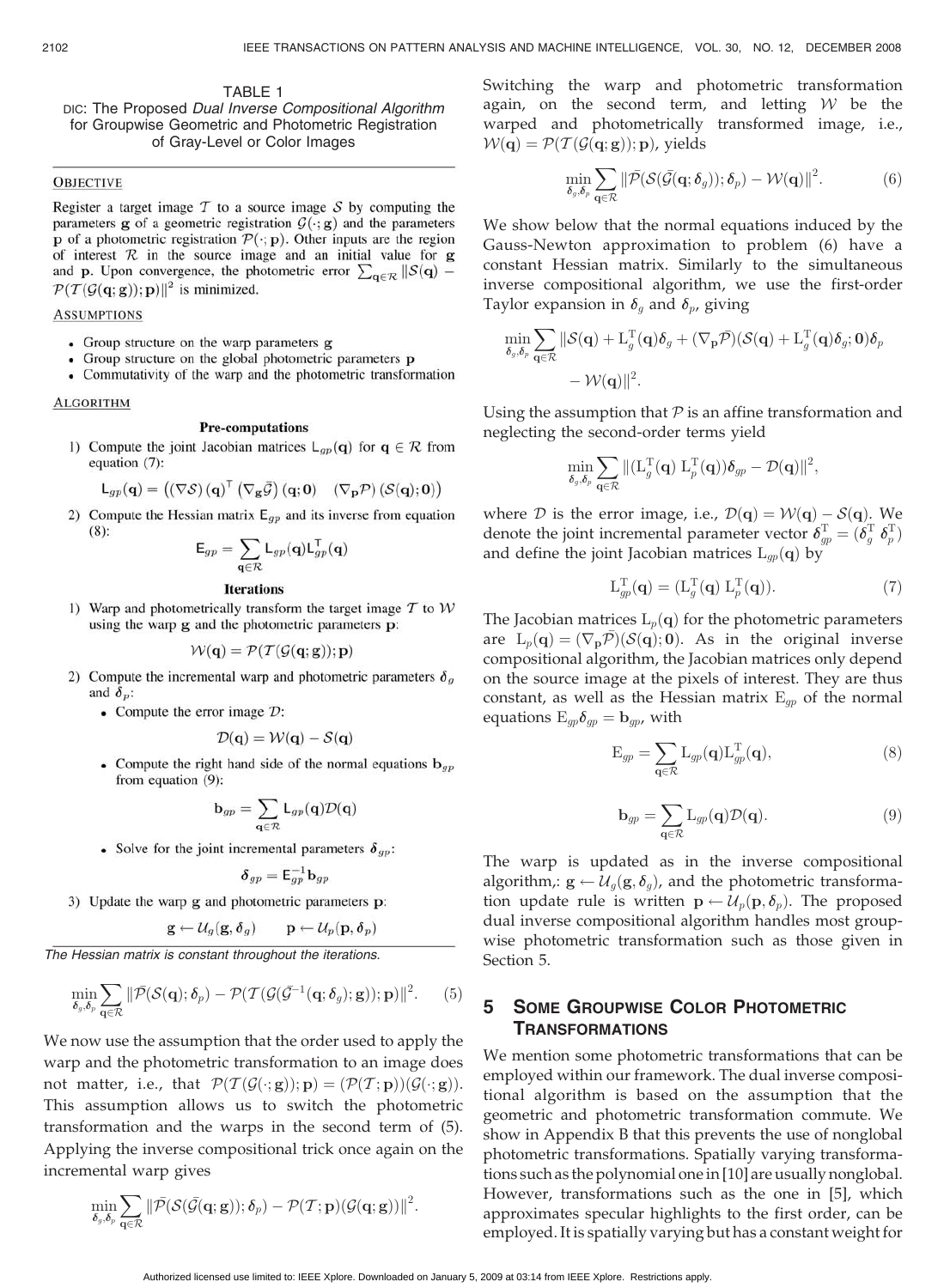#### TABLE 1

DIC: The Proposed Dual Inverse Compositional Algorithm for Groupwise Geometric and Photometric Registration of Gray-Level or Color Images

#### **OBJECTIVE**

Register a target image  $T$  to a source image  $S$  by computing the parameters g of a geometric registration  $G(\cdot; g)$  and the parameters **p** of a photometric registration  $\mathcal{P}(\cdot; \mathbf{p})$ . Other inputs are the region of interest  $R$  in the source image and an initial value for  $g$ and p. Upon convergence, the photometric error  $\sum_{\mathbf{q} \in \mathcal{R}} ||S(\mathbf{q}) \mathcal{P}(\mathcal{T}(\mathcal{G}(\mathbf{q};\mathbf{g}));\mathbf{p})\|^2$  is minimized.

#### **ASSUMPTIONS**

- Group structure on the warp parameters g
- Group structure on the global photometric parameters p
- Commutativity of the warp and the photometric transformation

#### **ALGORITHM**

#### **Pre-computations**

1) Compute the joint Jacobian matrices  $L_{gp}(q)$  for  $q \in \mathcal{R}$  from equation  $(7)$ :

$$
\mathsf{L}_{gp}(\mathbf{q}) = ((\nabla \mathcal{S}) (\mathbf{q})^{\mathsf{T}} (\nabla_{\mathbf{g}} \bar{\mathcal{G}}) (\mathbf{q}; \mathbf{0}) \quad (\nabla_{\mathbf{p}} \mathcal{P}) (\mathcal{S}(\mathbf{q}); \mathbf{0}))
$$

2) Compute the Hessian matrix  $E_{qp}$  and its inverse from equation

$$
\mathsf{E}_{gp} = \sum_{\mathbf{q} \in \mathcal{R}} \mathsf{L}_{gp}(\mathbf{q}) \mathsf{L}_{gp}^{\mathsf{T}}(\mathbf{q})
$$

#### **Iterations**

1) Warp and photometrically transform the target image  $T$  to  $W$ using the warp g and the photometric parameters p:

$$
\mathcal{W}(\mathbf{q}) = \mathcal{P}(\mathcal{T}(\mathcal{G}(\mathbf{q};\mathbf{g})); \mathbf{p})
$$

- 2) Compute the incremental warp and photometric parameters  $\delta_g$ and  $\delta_p$ :
	- Compute the error image  $D$ :

$$
\mathcal{D}(\mathbf{q}) = \mathcal{W}(\mathbf{q}) - \mathcal{S}(\mathbf{q})
$$

• Compute the right hand side of the normal equations  $\mathbf{b}_{gp}$ from equation  $(9)$ :

$$
\mathbf{b}_{gp} = \sum_{\mathbf{q} \in \mathcal{R}} \mathsf{L}_{gp}(\mathbf{q}) \mathcal{D}(\mathbf{q})
$$

• Solve for the joint incremental parameters  $\delta_{gp}$ :

$$
\boldsymbol{\mathfrak{h}}_{gp}=\mathsf{E}_{gp}^{-1}\mathbf{b}_{gp}
$$

3) Update the warp g and photometric parameters p:

$$
\mathbf{g} \leftarrow \mathcal{U}_g(\mathbf{g}, \boldsymbol{\delta}_g) \qquad \mathbf{p} \leftarrow \mathcal{U}_p(\mathbf{p}, \boldsymbol{\delta}_p)
$$

The Hessian matrix is constant throughout the iterations.

$$
\min_{\delta_g, \delta_p} \sum_{\mathbf{q} \in \mathcal{R}} \| \bar{\mathcal{P}}(\mathcal{S}(\mathbf{q}); \delta_p) - \mathcal{P}(\mathcal{T}(\mathcal{G}(\bar{\mathcal{G}}^{-1}(\mathbf{q}; \delta_g); \mathbf{g})); \mathbf{p}) \|^2.
$$
 (5)

We now use the assumption that the order used to apply the warp and the photometric transformation to an image does not matter, i.e., that  $\mathcal{P}(\mathcal{T}(\mathcal{G}(\cdot; \mathbf{g})); \mathbf{p}) = (\mathcal{P}(\mathcal{T}; \mathbf{p}))(\mathcal{G}(\cdot; \mathbf{g})).$ This assumption allows us to switch the photometric transformation and the warps in the second term of (5). Applying the inverse compositional trick once again on the incremental warp gives

$$
\min_{\boldsymbol{\delta}_g,\boldsymbol{\delta}_p}\sum_{\mathbf{q}\in\mathcal{R}}\|\bar{\mathcal{P}}(\mathcal{S}(\bar{\mathcal{G}}(\mathbf{q};\mathbf{g}));\boldsymbol{\delta}_p)-\mathcal{P}(\mathcal{T};\mathbf{p})(\mathcal{G}(\mathbf{q};\mathbf{g}))\|^2.
$$

Switching the warp and photometric transformation again, on the second term, and letting  $W$  be the warped and photometrically transformed image, i.e.,  $W(q) = P(T(\mathcal{G}(q; g)); p)$ , yields

$$
\min_{\boldsymbol{\delta}_g, \boldsymbol{\delta}_p} \sum_{\mathbf{q} \in \mathcal{R}} \| \mathcal{P}(\mathcal{S}(\mathcal{G}(\mathbf{q}; \boldsymbol{\delta}_g)); \boldsymbol{\delta}_p) - \mathcal{W}(\mathbf{q}) \|^2.
$$
 (6)

We show below that the normal equations induced by the Gauss-Newton approximation to problem (6) have a constant Hessian matrix. Similarly to the simultaneous inverse compositional algorithm, we use the first-order Taylor expansion in  $\delta_g$  and  $\delta_p$ , giving

$$
\begin{aligned} &\min_{\boldsymbol{\delta}_g,\boldsymbol{\delta}_p}\sum_{\mathbf{q}\in\mathcal{R}}\|\mathcal{S}(\mathbf{q})+\mathrm{L}^{\mathrm{T}}_g(\mathbf{q})\boldsymbol{\delta}_g+(\nabla_{\mathbf{p}}\bar{\mathcal{P}})(\mathcal{S}(\mathbf{q})+\mathrm{L}^{\mathrm{T}}_g(\mathbf{q})\boldsymbol{\delta}_g;\mathbf{0})\boldsymbol{\delta}_p\\ &-\mathcal{W}(\mathbf{q})\|^2. \end{aligned}
$$

Using the assumption that  $P$  is an affine transformation and neglecting the second-order terms yield

$$
\min_{\boldsymbol{\delta}_g,\boldsymbol{\delta}_p} \sum_{\mathbf{q}\in\mathcal{R}} \Vert (\operatorname{L}_{g}^{\mathrm{T}}(\mathbf{q})\operatorname{L}_{p}^{\mathrm{T}}(\mathbf{q}))\boldsymbol{\delta}_{gp} - \mathcal{D}(\mathbf{q}) \Vert^2,
$$

where D is the error image, i.e.,  $\mathcal{D}(\mathbf{q}) = \mathcal{W}(\mathbf{q}) - \mathcal{S}(\mathbf{q})$ . We denote the joint incremental parameter vector  $\delta_{gp}^{\mathrm{T}} = (\delta_g^{\mathrm{T}} \ \delta_p^{\mathrm{T}})$ and define the joint Jacobian matrices  $L_{gp}(\mathbf{q})$  by

$$
\mathcal{L}_{gp}^{\mathrm{T}}(\mathbf{q}) = (\mathcal{L}_g^{\mathrm{T}}(\mathbf{q}) \mathcal{L}_p^{\mathrm{T}}(\mathbf{q})). \tag{7}
$$

The Jacobian matrices  $L_p(q)$  for the photometric parameters are  $L_p(\mathbf{q}) = (\nabla_p \overline{\mathcal{P}})(\mathcal{S}(\mathbf{q}); \mathbf{0}).$  As in the original inverse compositional algorithm, the Jacobian matrices only depend on the source image at the pixels of interest. They are thus constant, as well as the Hessian matrix  $E_{qp}$  of the normal equations  $\mathrm{E}_{gp} \delta_{gp} = \mathbf{b}_{gp}$ , with

$$
\mathbf{E}_{gp} = \sum_{\mathbf{q} \in \mathcal{R}} \mathbf{L}_{gp}(\mathbf{q}) \mathbf{L}_{gp}^{\mathrm{T}}(\mathbf{q}),\tag{8}
$$

$$
\mathbf{b}_{gp} = \sum_{\mathbf{q} \in \mathcal{R}} L_{gp}(\mathbf{q}) \mathcal{D}(\mathbf{q}). \tag{9}
$$

The warp is updated as in the inverse compositional algorithm,:  $\mathbf{g} \leftarrow \mathcal{U}_g(\mathbf{g}, \boldsymbol{\delta}_g)$ , and the photometric transformation update rule is written  $\mathbf{p} \leftarrow \mathcal{U}_p(\mathbf{p}, \boldsymbol{\delta}_p).$  The proposed dual inverse compositional algorithm handles most groupwise photometric transformation such as those given in Section 5.

### 5 SOME GROUPWISE COLOR PHOTOMETRIC **TRANSFORMATIONS**

We mention some photometric transformations that can be employed within our framework. The dual inverse compositional algorithm is based on the assumption that the geometric and photometric transformation commute. We show in Appendix B that this prevents the use of nonglobal photometric transformations. Spatially varying transformations such as the polynomial one in [10] are usually nonglobal. However, transformations such as the one in [5], which approximates specular highlights to the first order, can be employed. It is spatially varying but has a constant weight for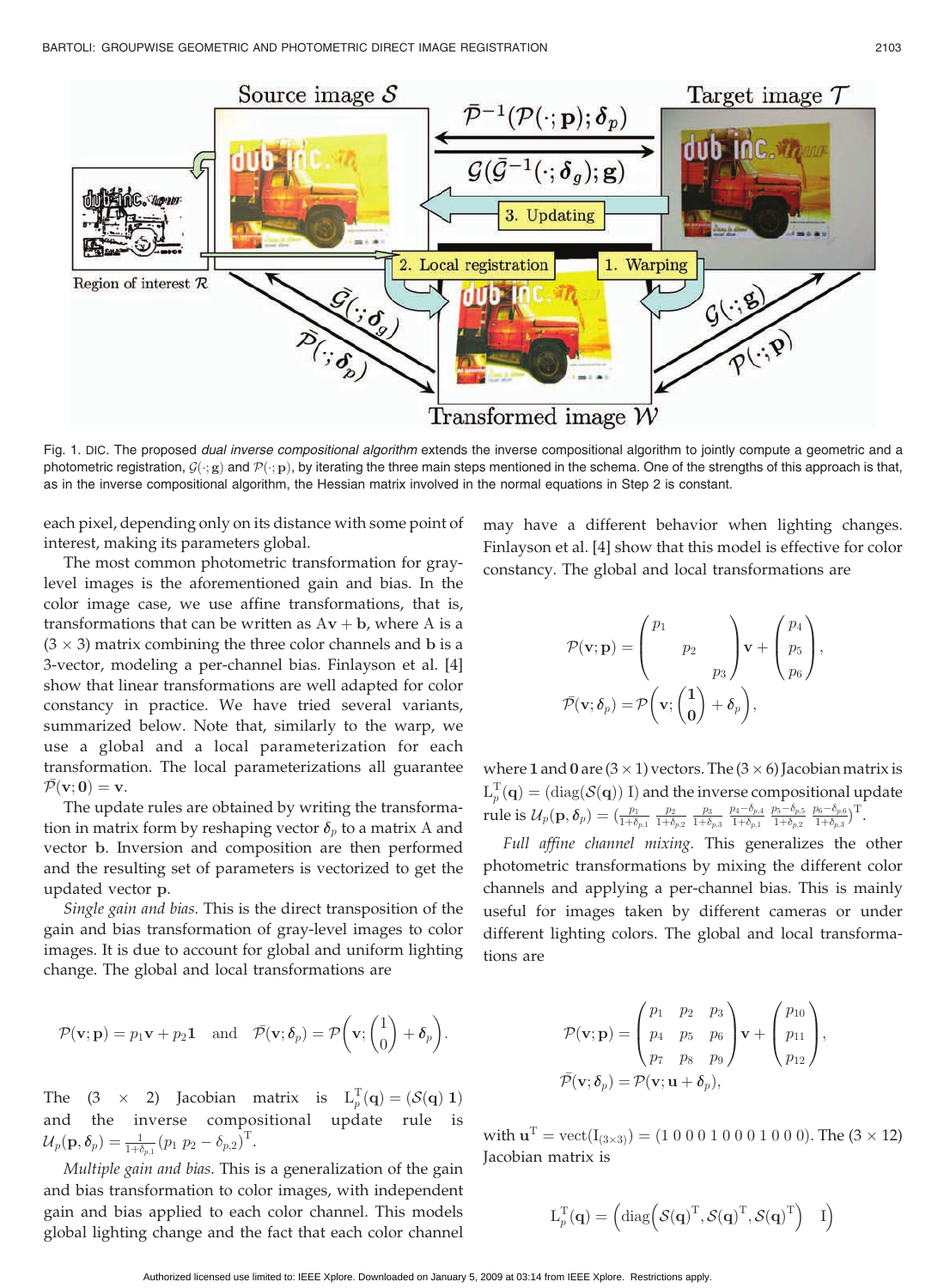

Fig. 1. DIC. The proposed dual inverse compositional algorithm extends the inverse compositional algorithm to jointly compute a geometric and a photometric registration,  $\mathcal{G}(\cdot;\mathbf{g})$  and  $\mathcal{P}(\cdot;\mathbf{p}),$  by iterating the three main steps mentioned in the schema. One of the strengths of this approach is that, as in the inverse compositional algorithm, the Hessian matrix involved in the normal equations in Step 2 is constant.

each pixel, depending only on its distance with some point of interest, making its parameters global.

The most common photometric transformation for graylevel images is the aforementioned gain and bias. In the color image case, we use affine transformations, that is, transformations that can be written as  $Av + b$ , where A is a  $(3 \times 3)$  matrix combining the three color channels and b is a 3-vector, modeling a per-channel bias. Finlayson et al. [4] show that linear transformations are well adapted for color constancy in practice. We have tried several variants, summarized below. Note that, similarly to the warp, we use a global and a local parameterization for each transformation. The local parameterizations all guarantee  $\bar{\mathcal{P}}(\mathbf{v};\mathbf{0}) = \mathbf{v}.$ 

The update rules are obtained by writing the transformation in matrix form by reshaping vector  $\pmb{\delta}_p$  to a matrix A and vector b. Inversion and composition are then performed and the resulting set of parameters is vectorized to get the updated vector p.

Single gain and bias. This is the direct transposition of the gain and bias transformation of gray-level images to color images. It is due to account for global and uniform lighting change. The global and local transformations are

$$
\mathcal{P}(\mathbf{v};\mathbf{p}) = p_1 \mathbf{v} + p_2 \mathbf{1} \text{ and } \bar{\mathcal{P}}(\mathbf{v};\delta_p) = \mathcal{P}\left(\mathbf{v};\begin{pmatrix}1\\0\end{pmatrix} + \delta_p\right).
$$

The  $(3 \times 2)$  Jacobian matrix is  $L_p^T(q) = (\mathcal{S}(q) 1)$ and the inverse compositional update rule is  ${\mathcal U}_p(\mathbf{p},\delta_p) = \frac{1}{1+\delta_{p,1}}(p_1\; p_2 - \delta_{p,2})^\mathrm{T}.$ 

Multiple gain and bias. This is a generalization of the gain and bias transformation to color images, with independent gain and bias applied to each color channel. This models global lighting change and the fact that each color channel

may have a different behavior when lighting changes. Finlayson et al. [4] show that this model is effective for color constancy. The global and local transformations are

$$
\mathcal{P}(\mathbf{v}; \mathbf{p}) = \begin{pmatrix} p_1 \\ p_2 \\ p_3 \end{pmatrix} \mathbf{v} + \begin{pmatrix} p_4 \\ p_5 \\ p_6 \end{pmatrix},
$$

$$
\mathcal{P}(\mathbf{v}; \delta_p) = \mathcal{P}\left(\mathbf{v}; \begin{pmatrix} 1 \\ 0 \end{pmatrix} + \delta_p \right),
$$

where 1 and 0 are  $(3 \times 1)$  vectors. The  $(3 \times 6)$  Jacobian matrix is  $\text{L}^\text{T}_p(\mathbf{q}) = (\text{diag}(\mathcal{S}(\mathbf{q})) \; \text{I})$  and the inverse compositional update rule is  $\mathcal{U}_p(\mathbf{p},\delta_p)=(\frac{p_1}{1+\delta_{p,1}}\,\frac{p_2}{1+\delta_{p,2}}\,\frac{p_3}{1+\delta_{p,3}})$  $\frac{p_4-\delta_{p,4}}{1+\delta_{p,1}}$  $\frac{p_5-\delta_{p,5}}{1+\delta_{p,2}}$  $\frac{p_6-\delta_{p,6}}{1+\delta_{p,3}}\big)^{\rm T}.$ 

Full affine channel mixing. This generalizes the other photometric transformations by mixing the different color channels and applying a per-channel bias. This is mainly useful for images taken by different cameras or under different lighting colors. The global and local transformations are

$$
\mathcal{P}(\mathbf{v};\mathbf{p}) = \begin{pmatrix} p_1 & p_2 & p_3 \ p_4 & p_5 & p_6 \ p_7 & p_8 & p_9 \end{pmatrix} \mathbf{v} + \begin{pmatrix} p_{10} \ p_{11} \ p_{12} \end{pmatrix},
$$
  

$$
\bar{\mathcal{P}}(\mathbf{v};\boldsymbol{\delta}_p) = \mathcal{P}(\mathbf{v};\mathbf{u} + \boldsymbol{\delta}_p),
$$

with  $\mathbf{u}^{\mathrm{T}} = \mathrm{vect}(I_{(3\times3)}) = (1\ 0\ 0\ 0\ 1\ 0\ 0\ 0\ 1\ 0\ 0\ 0)$ . The  $(3 \times 12)$ Jacobian matrix is

$$
L_p^T(\mathbf{q}) = \left(\mathrm{diag}\!\left(\mathcal{S}(\mathbf{q})^T,\mathcal{S}(\mathbf{q})^T,\mathcal{S}(\mathbf{q})^T\right)\quad I\right)
$$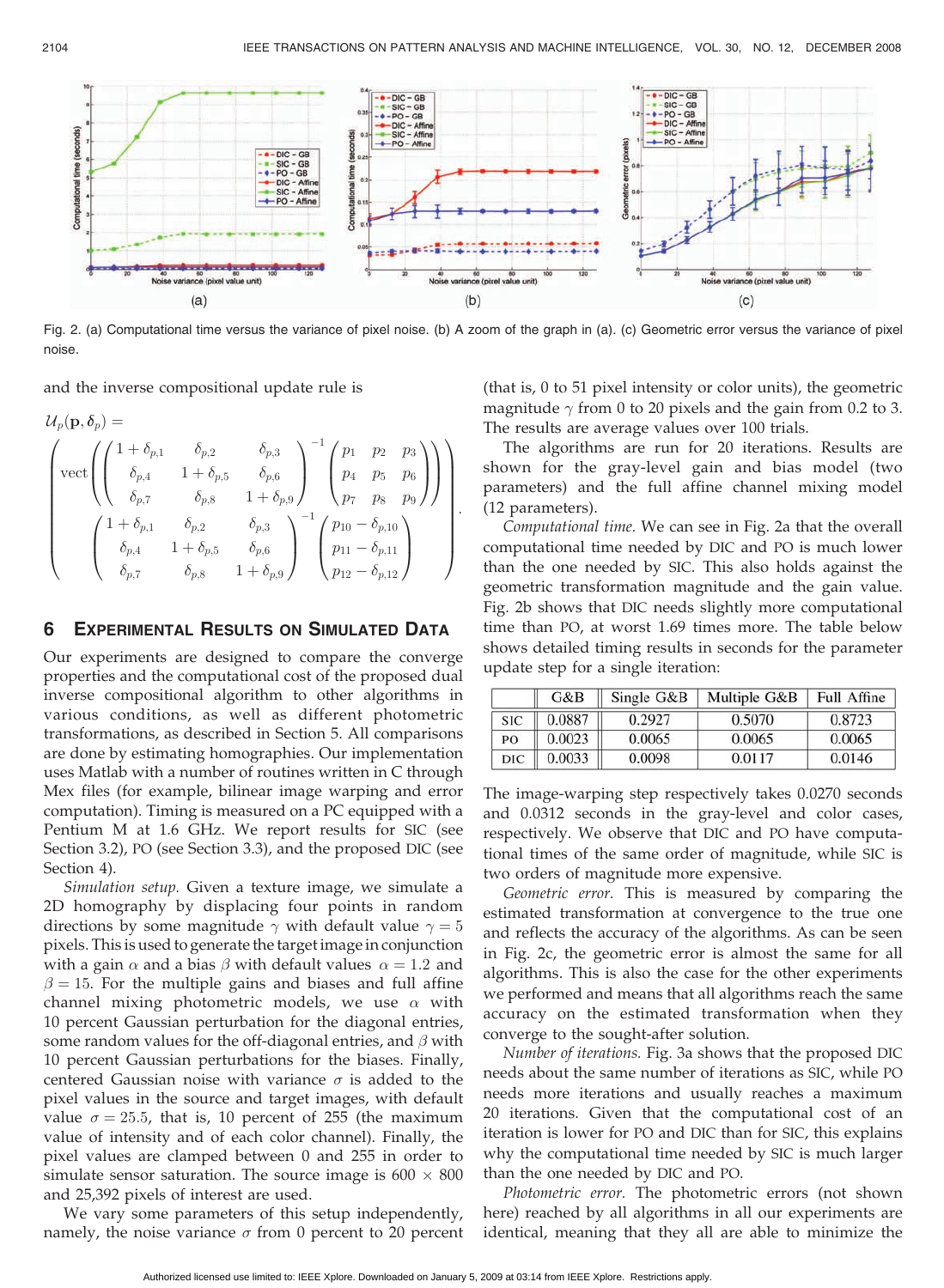

Fig. 2. (a) Computational time versus the variance of pixel noise. (b) A zoom of the graph in (a). (c) Geometric error versus the variance of pixel noise.

:

and the inverse compositional update rule is

$$
\mathcal{U}_p(\mathbf{p}, \delta_p) = \left( \begin{array}{ccc} \text{Vect} \left( \left( \begin{array}{ccc} 1 + \delta_{p,1} & \delta_{p,2} & \delta_{p,3} \\ \delta_{p,4} & 1 + \delta_{p,5} & \delta_{p,6} \\ \delta_{p,7} & \delta_{p,8} & 1 + \delta_{p,9} \end{array} \right)^{-1} \left( \begin{array}{ccc} p_1 & p_2 & p_3 \\ p_4 & p_5 & p_6 \\ p_7 & p_8 & p_9 \end{array} \right) \right) \\ \left( \begin{array}{ccc} 1 + \delta_{p,1} & \delta_{p,2} & \delta_{p,3} \\ \delta_{p,4} & 1 + \delta_{p,5} & \delta_{p,6} \\ \delta_{p,7} & \delta_{p,8} & 1 + \delta_{p,9} \end{array} \right)^{-1} \left( \begin{array}{ccc} p_{10} - \delta_{p,10} \\ p_{11} - \delta_{p,11} \\ p_{12} - \delta_{p,12} \end{array} \right) \end{array} \right)
$$

#### 6 EXPERIMENTAL RESULTS ON SIMULATED DATA

Our experiments are designed to compare the converge properties and the computational cost of the proposed dual inverse compositional algorithm to other algorithms in various conditions, as well as different photometric transformations, as described in Section 5. All comparisons are done by estimating homographies. Our implementation uses Matlab with a number of routines written in C through Mex files (for example, bilinear image warping and error computation). Timing is measured on a PC equipped with a Pentium M at 1.6 GHz. We report results for SIC (see Section 3.2), PO (see Section 3.3), and the proposed DIC (see Section 4).

Simulation setup. Given a texture image, we simulate a 2D homography by displacing four points in random directions by some magnitude  $\gamma$  with default value  $\gamma = 5$ pixels. This is used to generate the target image in conjunction with a gain  $\alpha$  and a bias  $\beta$  with default values  $\alpha = 1.2$  and  $\beta = 15$ . For the multiple gains and biases and full affine channel mixing photometric models, we use  $\alpha$  with 10 percent Gaussian perturbation for the diagonal entries, some random values for the off-diagonal entries, and  $\beta$  with 10 percent Gaussian perturbations for the biases. Finally, centered Gaussian noise with variance  $\sigma$  is added to the pixel values in the source and target images, with default value  $\sigma = 25.5$ , that is, 10 percent of 255 (the maximum value of intensity and of each color channel). Finally, the pixel values are clamped between 0 and 255 in order to simulate sensor saturation. The source image is  $600 \times 800$ and 25,392 pixels of interest are used.

We vary some parameters of this setup independently, namely, the noise variance  $\sigma$  from 0 percent to 20 percent (that is, 0 to 51 pixel intensity or color units), the geometric magnitude  $\gamma$  from 0 to 20 pixels and the gain from 0.2 to 3. The results are average values over 100 trials.

The algorithms are run for 20 iterations. Results are shown for the gray-level gain and bias model (two parameters) and the full affine channel mixing model (12 parameters).

Computational time. We can see in Fig. 2a that the overall computational time needed by DIC and PO is much lower than the one needed by SIC. This also holds against the geometric transformation magnitude and the gain value. Fig. 2b shows that DIC needs slightly more computational time than PO, at worst 1.69 times more. The table below shows detailed timing results in seconds for the parameter update step for a single iteration:

|            | G&B    | Single G&B | Multiple G&B | Full Affine |
|------------|--------|------------|--------------|-------------|
| <b>SIC</b> | 0.0887 | 0.2927     | 0.5070       | 0.8723      |
| PO         | 0.0023 | 0.0065     | 0.0065       | 0.0065      |
| <b>DIC</b> | 0.0033 | 0.0098     | 0.0117       | 0.0146      |

The image-warping step respectively takes 0.0270 seconds and 0.0312 seconds in the gray-level and color cases, respectively. We observe that DIC and PO have computational times of the same order of magnitude, while SIC is two orders of magnitude more expensive.

Geometric error. This is measured by comparing the estimated transformation at convergence to the true one and reflects the accuracy of the algorithms. As can be seen in Fig. 2c, the geometric error is almost the same for all algorithms. This is also the case for the other experiments we performed and means that all algorithms reach the same accuracy on the estimated transformation when they converge to the sought-after solution.

Number of iterations. Fig. 3a shows that the proposed DIC needs about the same number of iterations as SIC, while PO needs more iterations and usually reaches a maximum 20 iterations. Given that the computational cost of an iteration is lower for PO and DIC than for SIC, this explains why the computational time needed by SIC is much larger than the one needed by DIC and PO.

Photometric error. The photometric errors (not shown here) reached by all algorithms in all our experiments are identical, meaning that they all are able to minimize the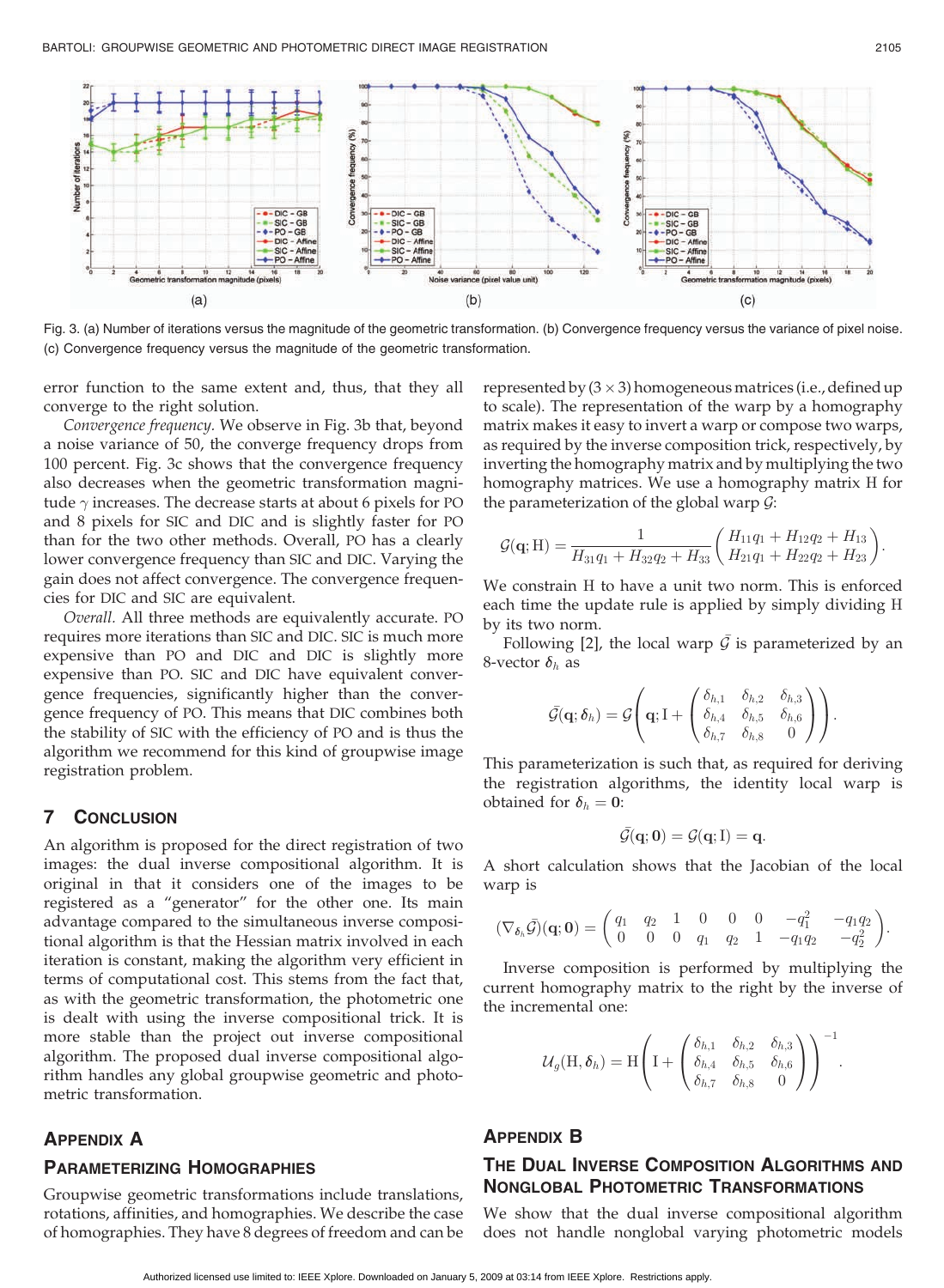

Fig. 3. (a) Number of iterations versus the magnitude of the geometric transformation. (b) Convergence frequency versus the variance of pixel noise. (c) Convergence frequency versus the magnitude of the geometric transformation.

error function to the same extent and, thus, that they all converge to the right solution.

Convergence frequency. We observe in Fig. 3b that, beyond a noise variance of 50, the converge frequency drops from 100 percent. Fig. 3c shows that the convergence frequency also decreases when the geometric transformation magnitude  $\gamma$  increases. The decrease starts at about 6 pixels for PO and 8 pixels for SIC and DIC and is slightly faster for PO than for the two other methods. Overall, PO has a clearly lower convergence frequency than SIC and DIC. Varying the gain does not affect convergence. The convergence frequencies for DIC and SIC are equivalent.

Overall. All three methods are equivalently accurate. PO requires more iterations than SIC and DIC. SIC is much more expensive than PO and DIC and DIC is slightly more expensive than PO. SIC and DIC have equivalent convergence frequencies, significantly higher than the convergence frequency of PO. This means that DIC combines both the stability of SIC with the efficiency of PO and is thus the algorithm we recommend for this kind of groupwise image registration problem.

#### 7 CONCLUSION

An algorithm is proposed for the direct registration of two images: the dual inverse compositional algorithm. It is original in that it considers one of the images to be registered as a "generator" for the other one. Its main advantage compared to the simultaneous inverse compositional algorithm is that the Hessian matrix involved in each iteration is constant, making the algorithm very efficient in terms of computational cost. This stems from the fact that, as with the geometric transformation, the photometric one is dealt with using the inverse compositional trick. It is more stable than the project out inverse compositional algorithm. The proposed dual inverse compositional algorithm handles any global groupwise geometric and photometric transformation.

#### **APPENDIX A**

### PARAMETERIZING HOMOGRAPHIES

Groupwise geometric transformations include translations, rotations, affinities, and homographies. We describe the case of homographies. They have 8 degrees of freedom and can be represented by  $(3 \times 3)$  homogeneous matrices (i.e., defined up to scale). The representation of the warp by a homography matrix makes it easy to invert a warp or compose two warps, as required by the inverse composition trick, respectively, by inverting the homography matrix and by multiplying the two homography matrices. We use a homography matrix H for the parameterization of the global warp  $\mathcal{G}$ :

$$
\mathcal{G}(\mathbf{q}; \mathbf{H}) = \frac{1}{H_{31}q_1 + H_{32}q_2 + H_{33}} \begin{pmatrix} H_{11}q_1 + H_{12}q_2 + H_{13} \\ H_{21}q_1 + H_{22}q_2 + H_{23} \end{pmatrix}.
$$

We constrain H to have a unit two norm. This is enforced each time the update rule is applied by simply dividing H by its two norm.

Following [2], the local warp  $\bar{\mathcal{G}}$  is parameterized by an 8-vector  $\delta_h$  as

$$
\bar{\mathcal{G}}(\mathbf{q};\boldsymbol{\delta}_h) = \mathcal{G}\left(\mathbf{q};\mathrm{I} + \begin{pmatrix} \delta_{h,1} & \delta_{h,2} & \delta_{h,3} \\ \delta_{h,4} & \delta_{h,5} & \delta_{h,6} \\ \delta_{h,7} & \delta_{h,8} & 0 \end{pmatrix}\right).
$$

This parameterization is such that, as required for deriving the registration algorithms, the identity local warp is obtained for  $\delta_h = 0$ :

$$
\bar{\mathcal{G}}(\mathbf{q};0)=\mathcal{G}(\mathbf{q};I)=\mathbf{q}.
$$

A short calculation shows that the Jacobian of the local warp is

$$
(\nabla_{\delta_h} \overline{G})(\mathbf{q}; \mathbf{0}) = \begin{pmatrix} q_1 & q_2 & 1 & 0 & 0 & 0 & -q_1^2 & -q_1 q_2 \\ 0 & 0 & 0 & q_1 & q_2 & 1 & -q_1 q_2 & -q_2^2 \end{pmatrix}.
$$

Inverse composition is performed by multiplying the current homography matrix to the right by the inverse of the incremental one:

$$
\mathcal{U}_g(\mathrm{H},\boldsymbol{\delta}_h)=\mathrm{H}\Bigg(\mathrm{I}+\left(\begin{matrix}\delta_{h,1}&\delta_{h,2}&\delta_{h,3}\\\delta_{h,4}&\delta_{h,5}&\delta_{h,6}\\\delta_{h,7}&\delta_{h,8}&0\end{matrix}\right)\Bigg)^{-1}.
$$

#### APPENDIX B

# THE DUAL INVERSE COMPOSITION ALGORITHMS AND NONGLOBAL PHOTOMETRIC TRANSFORMATIONS

We show that the dual inverse compositional algorithm does not handle nonglobal varying photometric models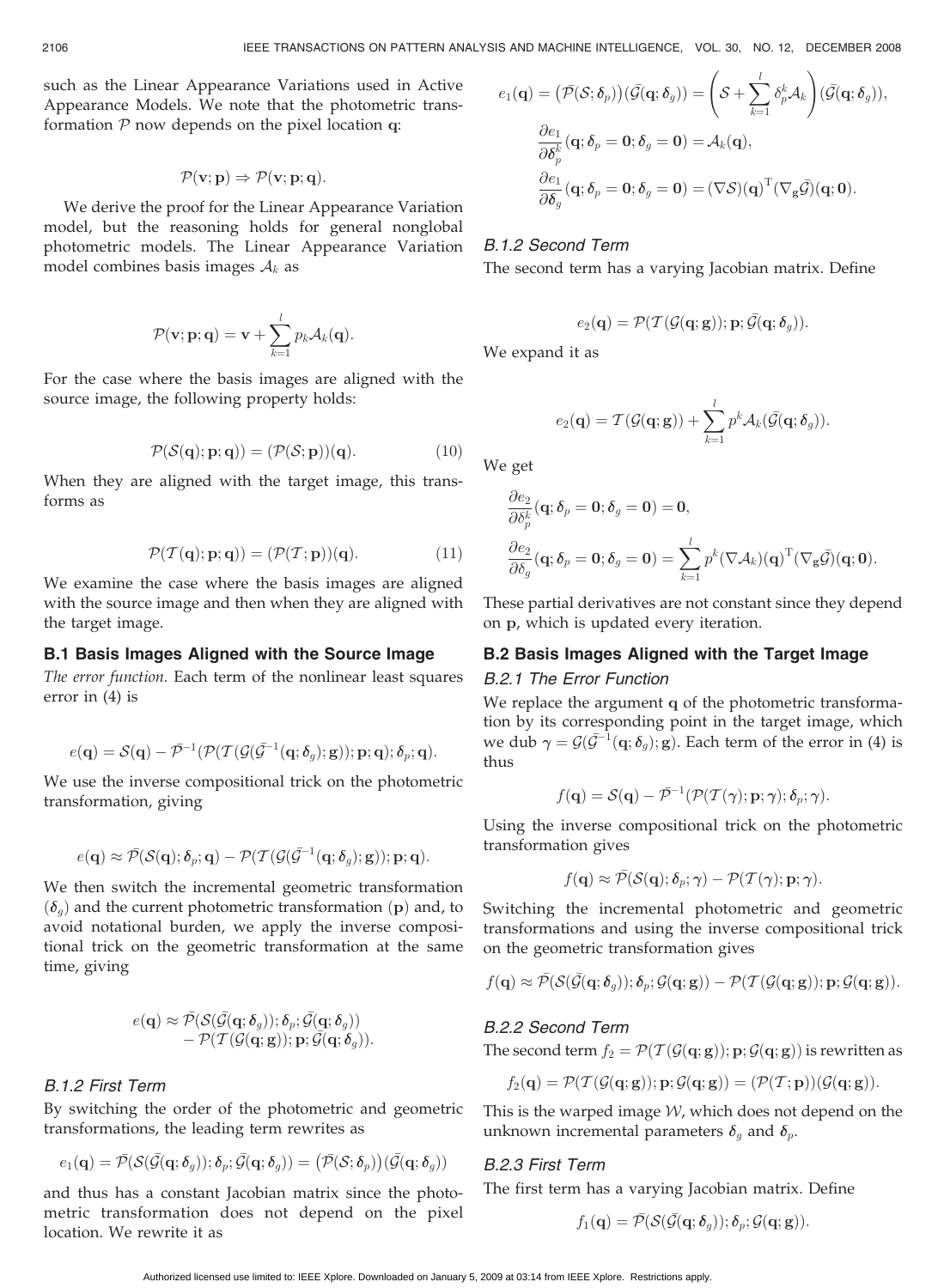such as the Linear Appearance Variations used in Active Appearance Models. We note that the photometric transformation  $P$  now depends on the pixel location  $q$ :

$$
\mathcal{P}(\mathbf{v};\mathbf{p}) \Rightarrow \mathcal{P}(\mathbf{v};\mathbf{p};\mathbf{q}).
$$

We derive the proof for the Linear Appearance Variation model, but the reasoning holds for general nonglobal photometric models. The Linear Appearance Variation model combines basis images  $A_k$  as

$$
\mathcal{P}(\mathbf{v};\mathbf{p};\mathbf{q})=\mathbf{v}+\sum_{k=1}^l p_k \mathcal{A}_k(\mathbf{q}).
$$

For the case where the basis images are aligned with the source image, the following property holds:

$$
\mathcal{P}(\mathcal{S}(\mathbf{q}); \mathbf{p}; \mathbf{q})) = (\mathcal{P}(\mathcal{S}; \mathbf{p}))(\mathbf{q}). \tag{10}
$$

When they are aligned with the target image, this transforms as

$$
\mathcal{P}(\mathcal{T}(\mathbf{q}); \mathbf{p}; \mathbf{q})) = (\mathcal{P}(\mathcal{T}; \mathbf{p}))(\mathbf{q}).\tag{11}
$$

We examine the case where the basis images are aligned with the source image and then when they are aligned with the target image.

#### B.1 Basis Images Aligned with the Source Image

The error function. Each term of the nonlinear least squares error in (4) is

$$
e(\mathbf{q}) = \mathcal{S}(\mathbf{q}) - \bar{\mathcal{P}}^{-1}(\mathcal{P}(\mathcal{T}(\mathcal{G}(\bar{\mathcal{G}}^{-1}(\mathbf{q}; \boldsymbol{\delta}_g); \mathbf{g})); \mathbf{p}; \mathbf{q}); \boldsymbol{\delta}_p; \mathbf{q}).
$$

We use the inverse compositional trick on the photometric transformation, giving

$$
e(\mathbf{q}) \approx \bar{\mathcal{P}}(\mathcal{S}(\mathbf{q}); \delta_p; \mathbf{q}) - \mathcal{P}(\mathcal{T}(\mathcal{G}(\bar{\mathcal{G}}^{-1}(\mathbf{q}; \delta_g); \mathbf{g})); \mathbf{p}; \mathbf{q}).
$$

We then switch the incremental geometric transformation  $(\delta_g)$  and the current photometric transformation (p) and, to avoid notational burden, we apply the inverse compositional trick on the geometric transformation at the same time, giving

$$
\begin{array}{c} e(\mathbf{q}) \approx \bar{\mathcal{P}}(\mathcal{S}(\bar{\mathcal{G}}(\mathbf{q};\boldsymbol{\delta}_g));\boldsymbol{\delta}_p;\bar{\mathcal{G}}(\mathbf{q};\boldsymbol{\delta}_g)) \\ -\mathcal{P}(\mathcal{T}(\mathcal{G}(\mathbf{q};\mathbf{g}));\mathbf{p};\bar{\mathcal{G}}(\mathbf{q};\boldsymbol{\delta}_g)). \end{array}
$$

#### B.1.2 First Term

By switching the order of the photometric and geometric transformations, the leading term rewrites as

$$
e_1(\mathbf{q}) = \bar{\mathcal{P}}(\mathcal{S}(\bar{\mathcal{G}}(\mathbf{q};\boldsymbol{\delta}_g)); \delta_p; \bar{\mathcal{G}}(\mathbf{q};\boldsymbol{\delta}_g)) = (\bar{\mathcal{P}}(\mathcal{S};\boldsymbol{\delta}_p))(\bar{\mathcal{G}}(\mathbf{q};\boldsymbol{\delta}_g))
$$

and thus has a constant Jacobian matrix since the photometric transformation does not depend on the pixel location. We rewrite it as

$$
e_1(\mathbf{q}) = (\bar{\mathcal{P}}(\mathcal{S}; \boldsymbol{\delta}_p))(\bar{\mathcal{G}}(\mathbf{q}; \boldsymbol{\delta}_g)) = \left(\mathcal{S} + \sum_{k=1}^l \delta_p^k \mathcal{A}_k\right) (\bar{\mathcal{G}}(\mathbf{q}; \boldsymbol{\delta}_g)),
$$

$$
\frac{\partial e_1}{\partial \delta_p^k}(\mathbf{q}; \boldsymbol{\delta}_p = \mathbf{0}; \boldsymbol{\delta}_g = \mathbf{0}) = \mathcal{A}_k(\mathbf{q}),
$$

$$
\frac{\partial e_1}{\partial \delta_g}(\mathbf{q}; \boldsymbol{\delta}_p = \mathbf{0}; \boldsymbol{\delta}_g = \mathbf{0}) = (\nabla \mathcal{S})(\mathbf{q})^{\mathrm{T}}(\nabla_{\mathbf{g}} \bar{\mathcal{G}})(\mathbf{q}; \mathbf{0}).
$$

#### B.1.2 Second Term

The second term has a varying Jacobian matrix. Define

$$
e_2(\mathbf{q}) = \mathcal{P}(\mathcal{T}(\mathcal{G}(\mathbf{q}; \mathbf{g})); \mathbf{p}; \bar{\mathcal{G}}(\mathbf{q}; \delta_g)).
$$

We expand it as

 $e_2(\mathbf{q}) = \mathcal{T}(\mathcal{G}(\mathbf{q};\mathbf{g})) + \sum^l$  $_{k=1}$  $p^k \mathcal{A}_k(\bar{\mathcal{G}}(\mathbf{q};\boldsymbol{\delta}_g)).$ 

We get

$$
\frac{\partial e_2}{\partial \delta_p^k}(\mathbf{q}; \delta_p = \mathbf{0}; \delta_g = \mathbf{0}) = \mathbf{0},
$$
  

$$
\frac{\partial e_2}{\partial \delta_g}(\mathbf{q}; \delta_p = \mathbf{0}; \delta_g = \mathbf{0}) = \sum_{k=1}^l p^k (\nabla \mathcal{A}_k)(\mathbf{q})^{\mathrm{T}} (\nabla_{\mathbf{g}} \bar{\mathcal{G}})(\mathbf{q}; \mathbf{0}).
$$

These partial derivatives are not constant since they depend on p, which is updated every iteration.

# B.2 Basis Images Aligned with the Target Image

### B.2.1 The Error Function

We replace the argument q of the photometric transformation by its corresponding point in the target image, which we dub  $\gamma = \mathcal{G}(\bar{\mathcal{G}}^{-1}(\mathbf{q}; \boldsymbol{\delta}_g); \mathbf{g})$ . Each term of the error in (4) is thus

$$
f(\mathbf{q}) = \mathcal{S}(\mathbf{q}) - \bar{\mathcal{P}}^{-1}(\mathcal{P}(\mathcal{T}(\gamma);\mathbf{p};\gamma);\delta_p;\gamma).
$$

Using the inverse compositional trick on the photometric transformation gives

$$
f(\mathbf{q}) \approx \bar{\mathcal{P}}(\mathcal{S}(\mathbf{q}); \delta_p; \gamma) - \mathcal{P}(\mathcal{T}(\gamma); \mathbf{p}; \gamma).
$$

Switching the incremental photometric and geometric transformations and using the inverse compositional trick on the geometric transformation gives

$$
f(\mathbf{q}) \approx \bar{\mathcal{P}}(\mathcal{S}(\bar{\mathcal{G}}(\mathbf{q};\delta_g)); \delta_p; \mathcal{G}(\mathbf{q};\mathbf{g})) - \mathcal{P}(\mathcal{T}(\mathcal{G}(\mathbf{q};\mathbf{g})); \mathbf{p}; \mathcal{G}(\mathbf{q};\mathbf{g})).
$$

#### B.2.2 Second Term

The second term  $f_2 = \mathcal{P}(\mathcal{T}(\mathcal{G}(\mathbf{q};\mathbf{g})); \mathbf{p}; \mathcal{G}(\mathbf{q};\mathbf{g}))$  is rewritten as

$$
f_2(\mathbf{q}) = \mathcal{P}(\mathcal{T}(\mathcal{G}(\mathbf{q}; \mathbf{g})); \mathbf{p}; \mathcal{G}(\mathbf{q}; \mathbf{g})) = (\mathcal{P}(\mathcal{T}; \mathbf{p}))(\mathcal{G}(\mathbf{q}; \mathbf{g})).
$$

This is the warped image  $W$ , which does not depend on the unknown incremental parameters  $\delta_g$  and  $\delta_p$ .

#### B.2.3 First Term

The first term has a varying Jacobian matrix. Define

$$
f_1(\mathbf{q}) = \bar{\mathcal{P}}(\mathcal{S}(\bar{\mathcal{G}}(\mathbf{q};\delta_g)); \delta_p; \mathcal{G}(\mathbf{q};\mathbf{g})).
$$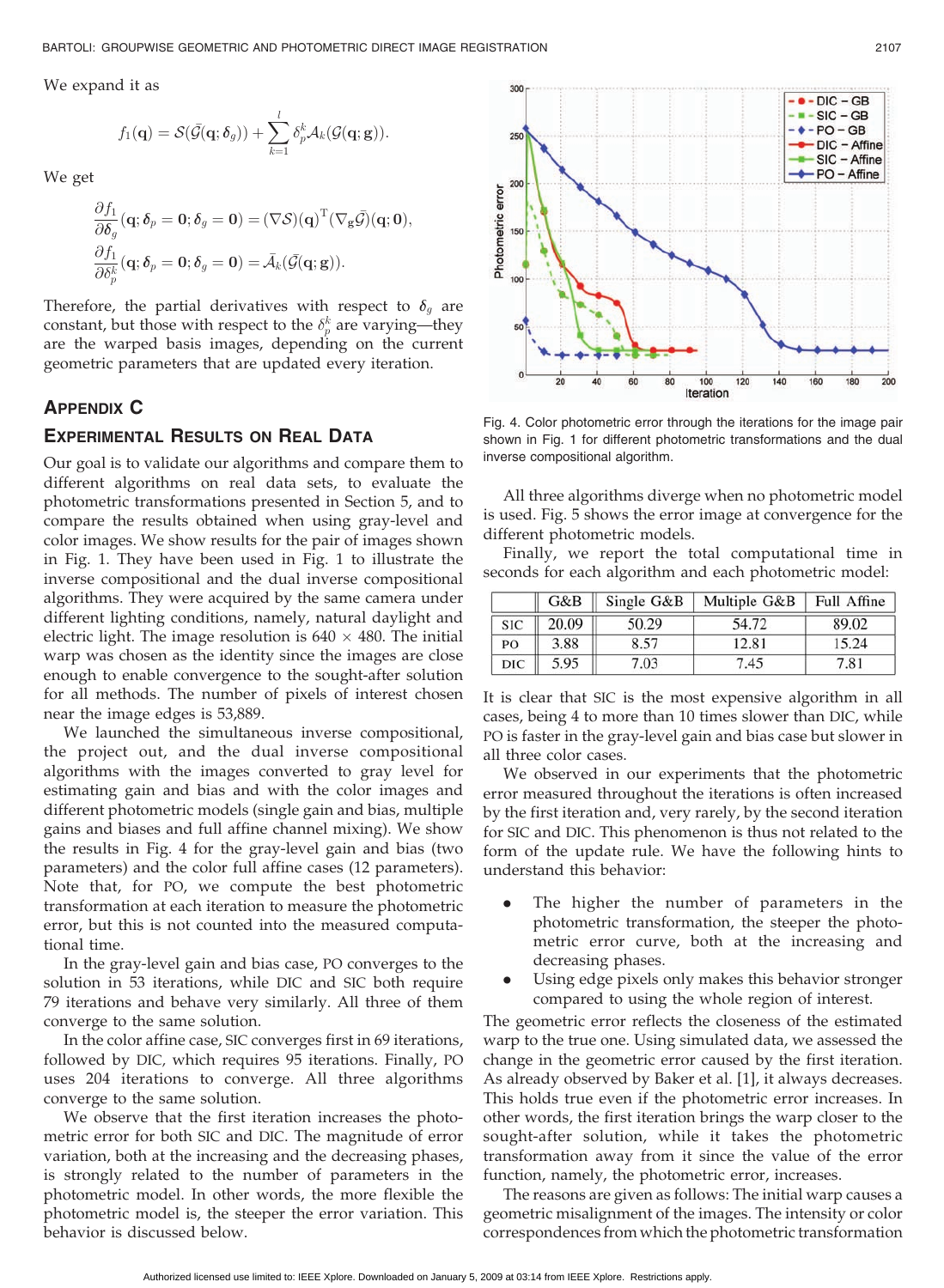We expand it as

$$
f_1(\mathbf{q}) = \mathcal{S}(\bar{\mathcal{G}}(\mathbf{q};\boldsymbol{\delta}_g)) + \sum_{k=1}^l \delta_p^k \mathcal{A}_k(\mathcal{G}(\mathbf{q};\mathbf{g})).
$$

We get

$$
\begin{aligned} &\frac{\partial f_1}{\partial \boldsymbol{\delta}_g}(\mathbf{q};\boldsymbol{\delta}_p=\mathbf{0};\boldsymbol{\delta}_g=\mathbf{0}) = (\nabla \mathcal{S})(\mathbf{q})^{\textrm{T}}(\nabla_{\mathbf{g}}\bar{\mathcal{G}})(\mathbf{q};\mathbf{0}),\\ &\frac{\partial f_1}{\partial \mathcal{S}^k_p}(\mathbf{q};\boldsymbol{\delta}_p=\mathbf{0};\boldsymbol{\delta}_g=\mathbf{0}) = \bar{\mathcal{A}}_k(\bar{\mathcal{G}}(\mathbf{q};\mathbf{g})). \end{aligned}
$$

Therefore, the partial derivatives with respect to  $\delta_g$  are constant, but those with respect to the  $\delta_p^k$  are varying—they are the warped basis images, depending on the current geometric parameters that are updated every iteration.

# APPENDIX C

#### EXPERIMENTAL RESULTS ON REAL DATA

Our goal is to validate our algorithms and compare them to different algorithms on real data sets, to evaluate the photometric transformations presented in Section 5, and to compare the results obtained when using gray-level and color images. We show results for the pair of images shown in Fig. 1. They have been used in Fig. 1 to illustrate the inverse compositional and the dual inverse compositional algorithms. They were acquired by the same camera under different lighting conditions, namely, natural daylight and electric light. The image resolution is  $640 \times 480$ . The initial warp was chosen as the identity since the images are close enough to enable convergence to the sought-after solution for all methods. The number of pixels of interest chosen near the image edges is 53,889.

We launched the simultaneous inverse compositional, the project out, and the dual inverse compositional algorithms with the images converted to gray level for estimating gain and bias and with the color images and different photometric models (single gain and bias, multiple gains and biases and full affine channel mixing). We show the results in Fig. 4 for the gray-level gain and bias (two parameters) and the color full affine cases (12 parameters). Note that, for PO, we compute the best photometric transformation at each iteration to measure the photometric error, but this is not counted into the measured computational time.

In the gray-level gain and bias case, PO converges to the solution in 53 iterations, while DIC and SIC both require 79 iterations and behave very similarly. All three of them converge to the same solution.

In the color affine case, SIC converges first in 69 iterations, followed by DIC, which requires 95 iterations. Finally, PO uses 204 iterations to converge. All three algorithms converge to the same solution.

We observe that the first iteration increases the photometric error for both SIC and DIC. The magnitude of error variation, both at the increasing and the decreasing phases, is strongly related to the number of parameters in the photometric model. In other words, the more flexible the photometric model is, the steeper the error variation. This behavior is discussed below.



Fig. 4. Color photometric error through the iterations for the image pair shown in Fig. 1 for different photometric transformations and the dual inverse compositional algorithm.

All three algorithms diverge when no photometric model is used. Fig. 5 shows the error image at convergence for the different photometric models.

Finally, we report the total computational time in seconds for each algorithm and each photometric model:

|            | G&B   | Single G&B | Multiple G&B | Full Affine |
|------------|-------|------------|--------------|-------------|
| <b>SIC</b> | 20.09 | 50.29      | 54.72        | 89.02       |
| PO         | 3.88  | 8.57       | 12.81        | 15.24       |
| DIC        | 5.95  | 7.03       | 7.45         | 7.81        |

It is clear that SIC is the most expensive algorithm in all cases, being 4 to more than 10 times slower than DIC, while PO is faster in the gray-level gain and bias case but slower in all three color cases.

We observed in our experiments that the photometric error measured throughout the iterations is often increased by the first iteration and, very rarely, by the second iteration for SIC and DIC. This phenomenon is thus not related to the form of the update rule. We have the following hints to understand this behavior:

- The higher the number of parameters in the photometric transformation, the steeper the photometric error curve, both at the increasing and decreasing phases.
- . Using edge pixels only makes this behavior stronger compared to using the whole region of interest.

The geometric error reflects the closeness of the estimated warp to the true one. Using simulated data, we assessed the change in the geometric error caused by the first iteration. As already observed by Baker et al. [1], it always decreases. This holds true even if the photometric error increases. In other words, the first iteration brings the warp closer to the sought-after solution, while it takes the photometric transformation away from it since the value of the error function, namely, the photometric error, increases.

The reasons are given as follows: The initial warp causes a geometric misalignment of the images. The intensity or color correspondences from which the photometric transformation